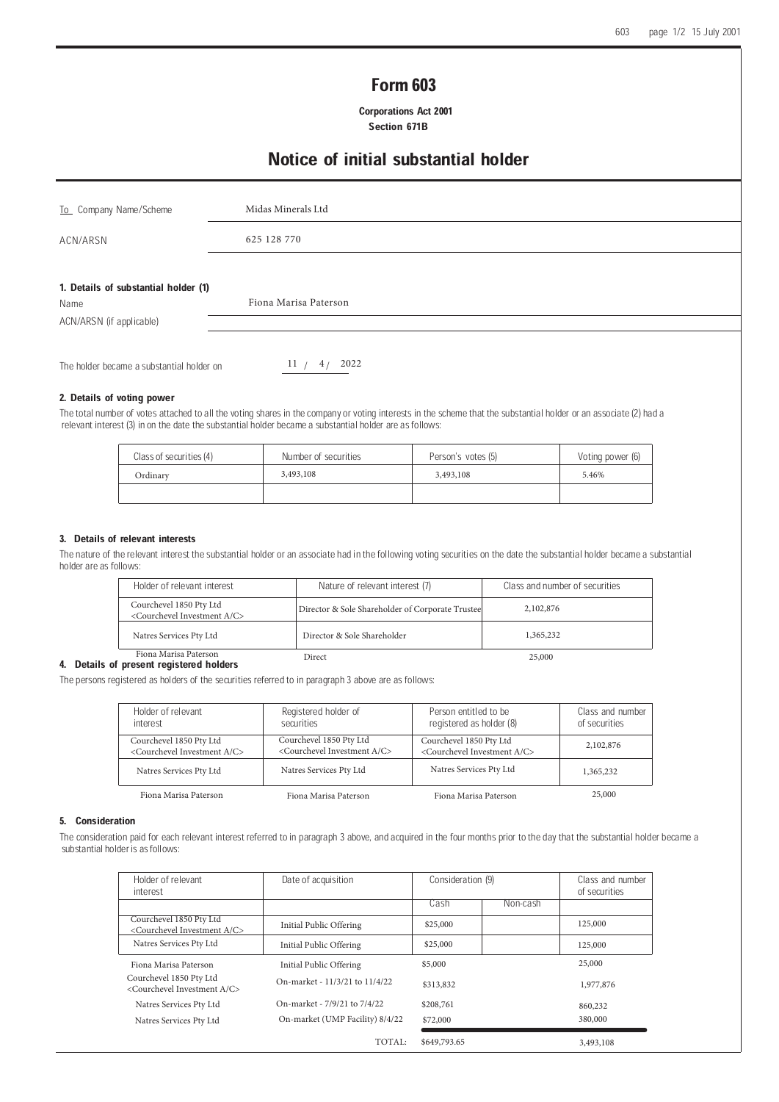# Form 603

 Corporations Act 2001 Section 671B

# Notice of initial substantial holder

| To Company Name/Scheme                       | Midas Minerals Ltd    |  |  |  |
|----------------------------------------------|-----------------------|--|--|--|
| ACN/ARSN                                     | 625 128 770           |  |  |  |
| 1. Details of substantial holder (1)<br>Name | Fiona Marisa Paterson |  |  |  |
| ACN/ARSN (if applicable)                     |                       |  |  |  |
| The holder became a substantial holder on    | 2022<br>11/<br>4/     |  |  |  |

## 2. Details of voting power

The total number of votes attached to all the voting shares in the company or voting interests in the scheme that the substantial holder or an associate (2) had a relevant interest (3) in on the date the substantial holder became a substantial holder are as follows:

| Class of securities (4) | Number of securities | Person's votes (5) | Voting power (6) |
|-------------------------|----------------------|--------------------|------------------|
| Ordinary                | 3,493,108            | 3,493,108          | 5.46%            |
|                         |                      |                    |                  |

### 3. Details of relevant interests

The nature of the relevant interest the substantial holder or an associate had in the following voting securities on the date the substantial holder became a substantial holder are as follows:

| Holder of relevant interest                                                  | Nature of relevant interest (7)                  | Class and number of securities |
|------------------------------------------------------------------------------|--------------------------------------------------|--------------------------------|
| Courchevel 1850 Pty Ltd<br><courchevel a="" c="" investment=""></courchevel> | Director & Sole Shareholder of Corporate Trustee | 2,102,876                      |
| Natres Services Pty Ltd                                                      | Director & Sole Shareholder                      | 1,365,232                      |
| Fiona Marisa Paterson<br>.                                                   | Direct                                           | 25,000                         |

#### 4. Details of present registered holders

The persons registered as holders of the securities referred to in paragraph 3 above are as follows:

| Holder of relevant                                | Registered holder of                              | Person entitled to be                             | Class and number |
|---------------------------------------------------|---------------------------------------------------|---------------------------------------------------|------------------|
| interest                                          | securities                                        | registered as holder (8)                          | of securities    |
| Courchevel 1850 Pty Ltd                           | Courchevel 1850 Pty Ltd                           | Courchevel 1850 Pty Ltd                           | 2,102,876        |
| <courchevel a="" c="" investment=""></courchevel> | <courchevel a="" c="" investment=""></courchevel> | <courchevel a="" c="" investment=""></courchevel> |                  |
| Natres Services Pty Ltd                           | Natres Services Pty Ltd                           | Natres Services Pty Ltd                           | 1,365,232        |
| Fiona Marisa Paterson                             | Fiona Marisa Paterson                             | Fiona Marisa Paterson                             | 25,000           |

#### 5. Consideration

The consideration paid for each relevant interest referred to in paragraph 3 above, and acquired in the four months prior to the day that the substantial holder became a substantial holder is as follows:

| Holder of relevant<br>interest                                               | Date of acquisition             | Consideration (9) |          | Class and number<br>of securities |
|------------------------------------------------------------------------------|---------------------------------|-------------------|----------|-----------------------------------|
|                                                                              |                                 | Cash              | Non-cash |                                   |
| Courchevel 1850 Pty Ltd<br><courchevel a="" c="" investment=""></courchevel> | Initial Public Offering         | \$25,000          |          | 125,000                           |
| Natres Services Pty Ltd                                                      | Initial Public Offering         | \$25,000          |          | 125,000                           |
| Fiona Marisa Paterson                                                        | Initial Public Offering         | \$5,000           |          | 25,000                            |
| Courchevel 1850 Pty Ltd<br><courchevel a="" c="" investment=""></courchevel> | On-market - 11/3/21 to 11/4/22  | \$313,832         |          | 1,977,876                         |
| Natres Services Pty Ltd                                                      | On-market - 7/9/21 to 7/4/22    | \$208,761         |          | 860,232                           |
| Natres Services Pty Ltd                                                      | On-market (UMP Facility) 8/4/22 | \$72,000          |          | 380,000                           |
|                                                                              | TOTAL:                          | \$649,793.65      |          | 3,493,108                         |